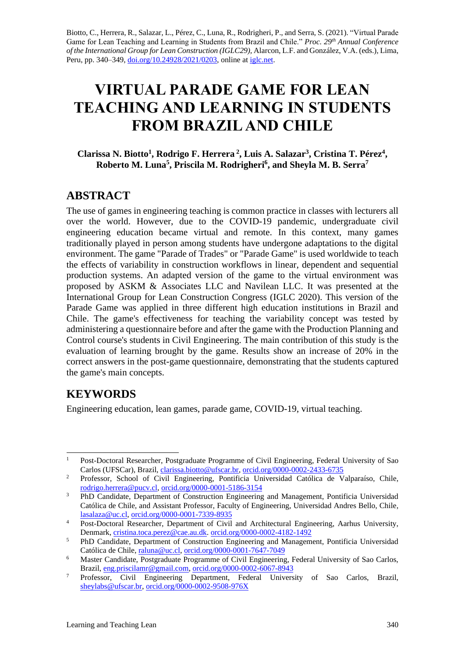Biotto, C., Herrera, R., Salazar, L., Pérez, C., Luna, R., Rodrigheri, P., and Serra, S. (2021). "Virtual Parade Game for Lean Teaching and Learning in Students from Brazil and Chile." *Proc. 29th Annual Conference of the International Group for Lean Construction (IGLC29),* Alarcon, L.F. and González, V.A. (eds.)*,* Lima, Peru, pp. 340–349, [doi.org/10.24928/2021/0203,](https://doi.org/10.24928/2021/0203) online at [iglc.net.](http://iglc.net/)

# **VIRTUAL PARADE GAME FOR LEAN TEACHING AND LEARNING IN STUDENTS FROM BRAZIL AND CHILE**

**Clarissa N. Biotto<sup>1</sup> , Rodrigo F. Herrera <sup>2</sup> , Luis A. Salazar<sup>3</sup> , Cristina T. Pérez<sup>4</sup> , Roberto M. Luna<sup>5</sup> , Priscila M. Rodrigheri<sup>6</sup> , and Sheyla M. B. Serra<sup>7</sup>**

### **ABSTRACT**

The use of games in engineering teaching is common practice in classes with lecturers all over the world. However, due to the COVID-19 pandemic, undergraduate civil engineering education became virtual and remote. In this context, many games traditionally played in person among students have undergone adaptations to the digital environment. The game "Parade of Trades" or "Parade Game" is used worldwide to teach the effects of variability in construction workflows in linear, dependent and sequential production systems. An adapted version of the game to the virtual environment was proposed by ASKM & Associates LLC and Navilean LLC. It was presented at the International Group for Lean Construction Congress (IGLC 2020). This version of the Parade Game was applied in three different high education institutions in Brazil and Chile. The game's effectiveness for teaching the variability concept was tested by administering a questionnaire before and after the game with the Production Planning and Control course's students in Civil Engineering. The main contribution of this study is the evaluation of learning brought by the game. Results show an increase of 20% in the correct answers in the post-game questionnaire, demonstrating that the students captured the game's main concepts.

# **KEYWORDS**

Engineering education, lean games, parade game, COVID-19, virtual teaching.

<sup>&</sup>lt;sup>1</sup> Post-Doctoral Researcher, Postgraduate Programme of Civil Engineering, Federal University of Sao Carlos (UFSCar), Brazil, [clarissa.biotto@ufscar.br,](mailto:clarissa.biotto@ufscar.br) [orcid.org/0000-0002-2433-6735](https://orcid.org/0000-0002-2433-6735)

<sup>&</sup>lt;sup>2</sup> Professor, School of Civil Engineering, Pontificia Universidad Católica de Valparaíso, Chile, [rodrigo.herrera@pucv.cl,](mailto:rodrigo.herrera@pucv.cl) [orcid.org/0000-0001-5186-3154](https://orcid.org/0000-0001-5186-3154)

<sup>&</sup>lt;sup>3</sup> PhD Candidate, Department of Construction Engineering and Management, Pontificia Universidad Católica de Chile, and Assistant Professor, Faculty of Engineering, Universidad Andres Bello, Chile, [lasalaza@uc.cl,](mailto:lasalaza@uc.cl) [orcid.org/0000-0001-7339-8935](https://orcid.org/0000-0001-7339-8935)

<sup>&</sup>lt;sup>4</sup> Post-Doctoral Researcher, Department of Civil and Architectural Engineering, Aarhus University, Denmark, [cristina.toca.perez@cae.au.dk.](mailto:cristina.toca.perez@cae.au.dk) [orcid.org/0000-0002-4182-1492](https://orcid.org/0000-0002-4182-1492)

<sup>&</sup>lt;sup>5</sup> PhD Candidate, Department of Construction Engineering and Management, Pontificia Universidad Católica de Chile, [raluna@uc.cl,](mailto:raluna@uc.cl) [orcid.org/0000-0001-7647-7049](https://orcid.org/0000-0001-7647-7049)

<sup>&</sup>lt;sup>6</sup> Master Candidate, Postgraduate Programme of Civil Engineering, Federal University of Sao Carlos, Brazil, [eng.priscilamr@gmail.com,](mailto:eng.priscilamr@gmail.com) [orcid.org/0000-0002-6067-8943](https://orcid.org/0000-0002-6067-8943)

<sup>&</sup>lt;sup>7</sup> Professor, Civil Engineering Department, Federal University of Sao Carlos, Brazil, [sheylabs@ufscar.br,](mailto:sheylabs@ufscar.br) [orcid.org/0000-0002-9508-976X](https://orcid.org/0000-0002-9508-976X)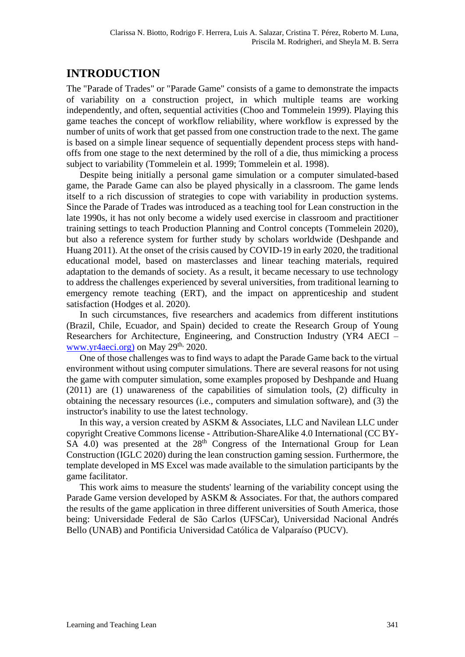## **INTRODUCTION**

The "Parade of Trades" or "Parade Game" consists of a game to demonstrate the impacts of variability on a construction project, in which multiple teams are working independently, and often, sequential activities (Choo and Tommelein 1999). Playing this game teaches the concept of workflow reliability, where workflow is expressed by the number of units of work that get passed from one construction trade to the next. The game is based on a simple linear sequence of sequentially dependent process steps with handoffs from one stage to the next determined by the roll of a die, thus mimicking a process subject to variability (Tommelein et al. 1999; Tommelein et al. 1998).

Despite being initially a personal game simulation or a computer simulated-based game, the Parade Game can also be played physically in a classroom. The game lends itself to a rich discussion of strategies to cope with variability in production systems. Since the Parade of Trades was introduced as a teaching tool for Lean construction in the late 1990s, it has not only become a widely used exercise in classroom and practitioner training settings to teach Production Planning and Control concepts (Tommelein 2020), but also a reference system for further study by scholars worldwide (Deshpande and Huang 2011). At the onset of the crisis caused by COVID-19 in early 2020, the traditional educational model, based on masterclasses and linear teaching materials, required adaptation to the demands of society. As a result, it became necessary to use technology to address the challenges experienced by several universities, from traditional learning to emergency remote teaching (ERT), and the impact on apprenticeship and student satisfaction (Hodges et al. 2020).

In such circumstances, five researchers and academics from different institutions (Brazil, Chile, Ecuador, and Spain) decided to create the Research Group of Young Researchers for Architecture, Engineering, and Construction Industry (YR4 AECI – [www.yr4aeci.org\)](about:blank) on May  $29<sup>th</sup>$ , 2020.

One of those challenges was to find ways to adapt the Parade Game back to the virtual environment without using computer simulations. There are several reasons for not using the game with computer simulation, some examples proposed by Deshpande and Huang (2011) are (1) unawareness of the capabilities of simulation tools, (2) difficulty in obtaining the necessary resources (i.e., computers and simulation software), and (3) the instructor's inability to use the latest technology.

In this way, a version created by ASKM & Associates, LLC and Navilean LLC under copyright Creative Commons license - Attribution-ShareAlike 4.0 International (CC BY- $SA$  4.0) was presented at the  $28<sup>th</sup>$  Congress of the International Group for Lean Construction (IGLC 2020) during the lean construction gaming session. Furthermore, the template developed in MS Excel was made available to the simulation participants by the game facilitator.

This work aims to measure the students' learning of the variability concept using the Parade Game version developed by ASKM & Associates. For that, the authors compared the results of the game application in three different universities of South America, those being: Universidade Federal de São Carlos (UFSCar), Universidad Nacional Andrés Bello (UNAB) and Pontificia Universidad Católica de Valparaíso (PUCV).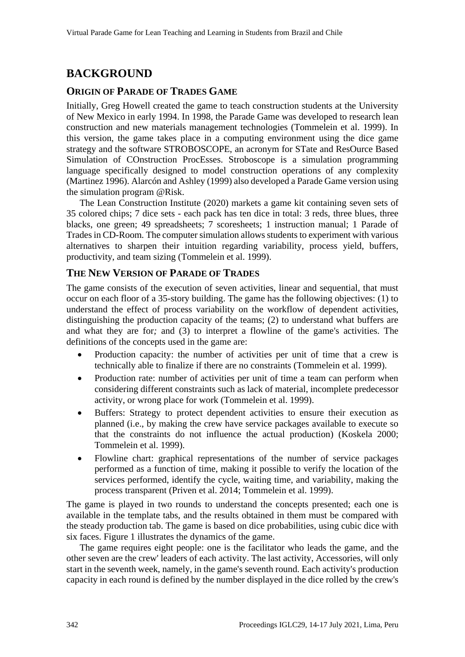# **BACKGROUND**

### **ORIGIN OF PARADE OF TRADES GAME**

Initially, Greg Howell created the game to teach construction students at the University of New Mexico in early 1994. In 1998, the Parade Game was developed to research lean construction and new materials management technologies (Tommelein et al. 1999). In this version, the game takes place in a computing environment using the dice game strategy and the software STROBOSCOPE, an acronym for STate and ResOurce Based Simulation of COnstruction ProcEsses. Stroboscope is a simulation programming language specifically designed to model construction operations of any complexity (Martinez 1996). Alarcón and Ashley (1999) also developed a Parade Game version using the simulation program @Risk.

The Lean Construction Institute (2020) markets a game kit containing seven sets of 35 colored chips; 7 dice sets - each pack has ten dice in total: 3 reds, three blues, three blacks, one green; 49 spreadsheets; 7 scoresheets; 1 instruction manual; 1 Parade of Tradesin CD-Room*.* The computer simulation allows students to experiment with various alternatives to sharpen their intuition regarding variability, process yield, buffers, productivity, and team sizing (Tommelein et al. 1999).

#### **THE NEW VERSION OF PARADE OF TRADES**

The game consists of the execution of seven activities, linear and sequential, that must occur on each floor of a 35-story building. The game has the following objectives: (1) to understand the effect of process variability on the workflow of dependent activities, distinguishing the production capacity of the teams; (2) to understand what buffers are and what they are for*;* and (3) to interpret a flowline of the game's activities. The definitions of the concepts used in the game are:

- Production capacity: the number of activities per unit of time that a crew is technically able to finalize if there are no constraints (Tommelein et al. 1999).
- Production rate: number of activities per unit of time a team can perform when considering different constraints such as lack of material, incomplete predecessor activity, or wrong place for work (Tommelein et al. 1999).
- Buffers: Strategy to protect dependent activities to ensure their execution as planned (i.e., by making the crew have service packages available to execute so that the constraints do not influence the actual production) (Koskela 2000; Tommelein et al. 1999).
- Flowline chart: graphical representations of the number of service packages performed as a function of time, making it possible to verify the location of the services performed, identify the cycle, waiting time, and variability, making the process transparent (Priven et al. 2014; Tommelein et al. 1999).

The game is played in two rounds to understand the concepts presented; each one is available in the template tabs, and the results obtained in them must be compared with the steady production tab. The game is based on dice probabilities, using cubic dice with six faces. Figure 1 illustrates the dynamics of the game.

The game requires eight people: one is the facilitator who leads the game, and the other seven are the crew' leaders of each activity. The last activity, Accessories, will only start in the seventh week, namely, in the game's seventh round. Each activity's production capacity in each round is defined by the number displayed in the dice rolled by the crew's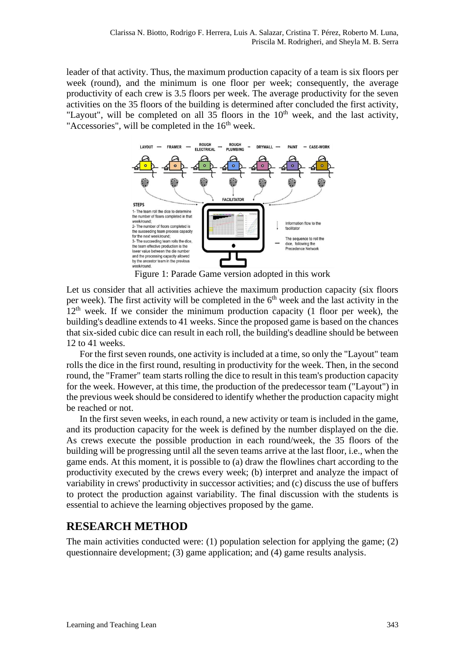leader of that activity. Thus, the maximum production capacity of a team is six floors per week (round), and the minimum is one floor per week; consequently, the average productivity of each crew is 3.5 floors per week. The average productivity for the seven activities on the 35 floors of the building is determined after concluded the first activity, "Layout", will be completed on all 35 floors in the  $10<sup>th</sup>$  week, and the last activity, "Accessories", will be completed in the  $16<sup>th</sup>$  week.



Figure 1: Parade Game version adopted in this work

Let us consider that all activities achieve the maximum production capacity (six floors per week). The first activity will be completed in the  $6<sup>th</sup>$  week and the last activity in the  $12<sup>th</sup>$  week. If we consider the minimum production capacity (1 floor per week), the building's deadline extends to 41 weeks. Since the proposed game is based on the chances that six-sided cubic dice can result in each roll, the building's deadline should be between 12 to 41 weeks.

For the first seven rounds, one activity is included at a time, so only the "Layout" team rolls the dice in the first round, resulting in productivity for the week. Then, in the second round, the "Framer" team starts rolling the dice to result in this team's production capacity for the week. However, at this time, the production of the predecessor team ("Layout") in the previous week should be considered to identify whether the production capacity might be reached or not.

In the first seven weeks, in each round, a new activity or team is included in the game, and its production capacity for the week is defined by the number displayed on the die. As crews execute the possible production in each round/week, the 35 floors of the building will be progressing until all the seven teams arrive at the last floor, i.e., when the game ends. At this moment, it is possible to (a) draw the flowlines chart according to the productivity executed by the crews every week; (b) interpret and analyze the impact of variability in crews' productivity in successor activities; and (c) discuss the use of buffers to protect the production against variability. The final discussion with the students is essential to achieve the learning objectives proposed by the game.

### **RESEARCH METHOD**

The main activities conducted were: (1) population selection for applying the game; (2) questionnaire development; (3) game application; and (4) game results analysis.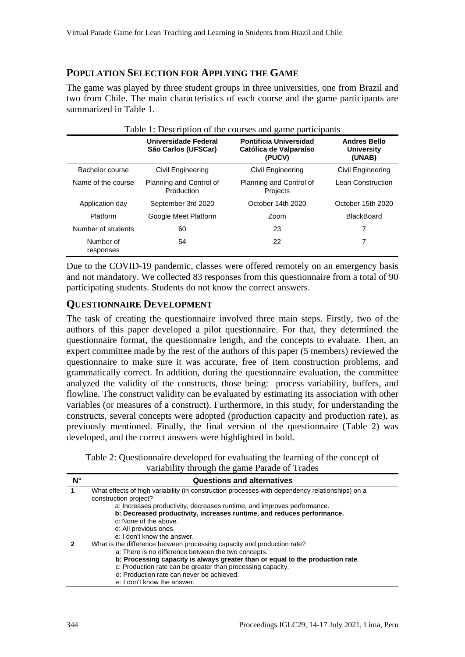#### **POPULATION SELECTION FOR APPLYING THE GAME**

The game was played by three student groups in three universities, one from Brazil and two from Chile. The main characteristics of each course and the game participants are summarized in Table 1.

|                        | Universidade Federal<br>São Carlos (UFSCar) | <b>Pontificia Universidad</b><br>Católica de Valparaíso<br>(PUCV) | <b>Andres Bello</b><br><b>University</b><br>(UNAB) |
|------------------------|---------------------------------------------|-------------------------------------------------------------------|----------------------------------------------------|
| Bachelor course        | Civil Engineering                           | Civil Engineering                                                 | Civil Engineering                                  |
| Name of the course     | Planning and Control of<br>Production       | Planning and Control of<br>Projects                               | Lean Construction                                  |
| Application day        | September 3rd 2020                          | October 14th 2020                                                 | October 15th 2020                                  |
| Platform               | Google Meet Platform                        | Zoom                                                              | <b>BlackBoard</b>                                  |
| Number of students     | 60                                          | 23                                                                | 7                                                  |
| Number of<br>responses | 54                                          | 22                                                                | 7                                                  |

Due to the COVID-19 pandemic, classes were offered remotely on an emergency basis and not mandatory. We collected 83 responses from this questionnaire from a total of 90 participating students. Students do not know the correct answers.

#### **QUESTIONNAIRE DEVELOPMENT**

The task of creating the questionnaire involved three main steps. Firstly, two of the authors of this paper developed a pilot questionnaire. For that, they determined the questionnaire format, the questionnaire length, and the concepts to evaluate. Then, an expert committee made by the rest of the authors of this paper (5 members) reviewed the questionnaire to make sure it was accurate, free of item construction problems, and grammatically correct. In addition, during the questionnaire evaluation, the committee analyzed the validity of the constructs, those being: process variability, buffers, and flowline. The construct validity can be evaluated by estimating its association with other variables (or measures of a construct). Furthermore, in this study, for understanding the constructs, several concepts were adopted (production capacity and production rate), as previously mentioned. Finally, the final version of the questionnaire (Table 2) was developed, and the correct answers were highlighted in bold.

| Table 2: Questionnaire developed for evaluating the learning of the concept of |
|--------------------------------------------------------------------------------|
| variability through the game Parade of Trades                                  |

| N° | <b>Questions and alternatives</b>                                                               |  |
|----|-------------------------------------------------------------------------------------------------|--|
| 1  | What effects of high variability (in construction processes with dependency relationships) on a |  |
|    | construction project?                                                                           |  |
|    | a: Increases productivity, decreases runtime, and improves performance.                         |  |
|    | b: Decreased productivity, increases runtime, and reduces performance.                          |  |
|    | c: None of the above.                                                                           |  |
|    | d: All previous ones.                                                                           |  |
|    | e: I don't know the answer.                                                                     |  |
|    | What is the difference between processing capacity and production rate?                         |  |
|    | a: There is no difference between the two concepts.                                             |  |
|    | b: Processing capacity is always greater than or equal to the production rate.                  |  |
|    | c: Production rate can be greater than processing capacity.                                     |  |
|    | d: Production rate can never be achieved.                                                       |  |
|    | e: I don't know the answer.                                                                     |  |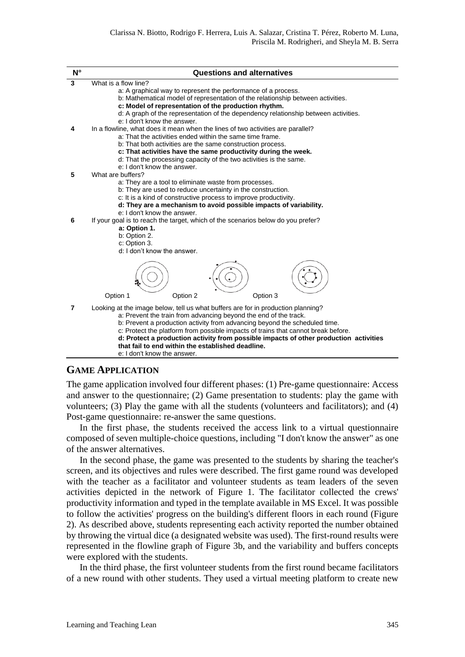| $N^{\circ}$ | <b>Questions and alternatives</b>                                                                                                                                                                                                                                                                                                                                                                                                                                                                    |
|-------------|------------------------------------------------------------------------------------------------------------------------------------------------------------------------------------------------------------------------------------------------------------------------------------------------------------------------------------------------------------------------------------------------------------------------------------------------------------------------------------------------------|
| 3           | What is a flow line?                                                                                                                                                                                                                                                                                                                                                                                                                                                                                 |
|             | a: A graphical way to represent the performance of a process.<br>b: Mathematical model of representation of the relationship between activities.<br>c: Model of representation of the production rhythm.<br>d: A graph of the representation of the dependency relationship between activities.                                                                                                                                                                                                      |
|             | e: I don't know the answer.                                                                                                                                                                                                                                                                                                                                                                                                                                                                          |
| 4           | In a flowline, what does it mean when the lines of two activities are parallel?<br>a: That the activities ended within the same time frame.<br>b: That both activities are the same construction process.<br>c: That activities have the same productivity during the week.<br>d: That the processing capacity of the two activities is the same.<br>e: I don't know the answer.                                                                                                                     |
| 5           | What are buffers?                                                                                                                                                                                                                                                                                                                                                                                                                                                                                    |
| 6           | a: They are a tool to eliminate waste from processes.<br>b: They are used to reduce uncertainty in the construction.<br>c: It is a kind of constructive process to improve productivity.<br>d: They are a mechanism to avoid possible impacts of variability.<br>e: I don't know the answer.<br>If your goal is to reach the target, which of the scenarios below do you prefer?<br>a: Option 1.<br>b: Option 2.<br>c: Option 3.<br>d: I don't know the answer.                                      |
|             | Option 1<br>Option 2<br>Option 3                                                                                                                                                                                                                                                                                                                                                                                                                                                                     |
| 7           | Looking at the image below, tell us what buffers are for in production planning?<br>a: Prevent the train from advancing beyond the end of the track.<br>b: Prevent a production activity from advancing beyond the scheduled time.<br>c: Protect the platform from possible impacts of trains that cannot break before.<br>d: Protect a production activity from possible impacts of other production activities<br>that fail to end within the established deadline.<br>e: I don't know the answer. |
|             |                                                                                                                                                                                                                                                                                                                                                                                                                                                                                                      |

#### **GAME APPLICATION**

The game application involved four different phases: (1) Pre-game questionnaire: Access and answer to the questionnaire; (2) Game presentation to students: play the game with volunteers; (3) Play the game with all the students (volunteers and facilitators); and (4) Post-game questionnaire: re-answer the same questions.

In the first phase, the students received the access link to a virtual questionnaire composed of seven multiple-choice questions, including "I don't know the answer" as one of the answer alternatives.

In the second phase, the game was presented to the students by sharing the teacher's screen, and its objectives and rules were described. The first game round was developed with the teacher as a facilitator and volunteer students as team leaders of the seven activities depicted in the network of Figure 1. The facilitator collected the crews' productivity information and typed in the template available in MS Excel. It was possible to follow the activities' progress on the building's different floors in each round (Figure 2). As described above, students representing each activity reported the number obtained by throwing the virtual dice (a designated website was used). The first-round results were represented in the flowline graph of Figure 3b, and the variability and buffers concepts were explored with the students.

In the third phase, the first volunteer students from the first round became facilitators of a new round with other students. They used a virtual meeting platform to create new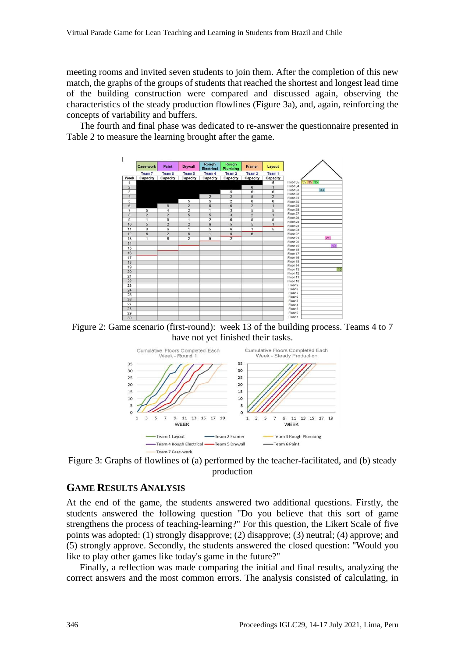meeting rooms and invited seven students to join them. After the completion of this new match, the graphs of the groups of students that reached the shortest and longest lead time of the building construction were compared and discussed again, observing the characteristics of the steady production flowlines (Figure 3a), and, again, reinforcing the concepts of variability and buffers.

The fourth and final phase was dedicated to re-answer the questionnaire presented in Table 2 to measure the learning brought after the game.



Figure 2: Game scenario (first-round): week 13 of the building process. Teams 4 to 7 have not yet finished their tasks.



Figure 3: Graphs of flowlines of (a) performed by the teacher-facilitated, and (b) steady production

#### **GAME RESULTS ANALYSIS**

At the end of the game, the students answered two additional questions. Firstly, the students answered the following question "Do you believe that this sort of game strengthens the process of teaching-learning?" For this question, the Likert Scale of five points was adopted: (1) strongly disapprove; (2) disapprove; (3) neutral; (4) approve; and (5) strongly approve. Secondly, the students answered the closed question: "Would you like to play other games like today's game in the future?"

Finally, a reflection was made comparing the initial and final results, analyzing the correct answers and the most common errors. The analysis consisted of calculating, in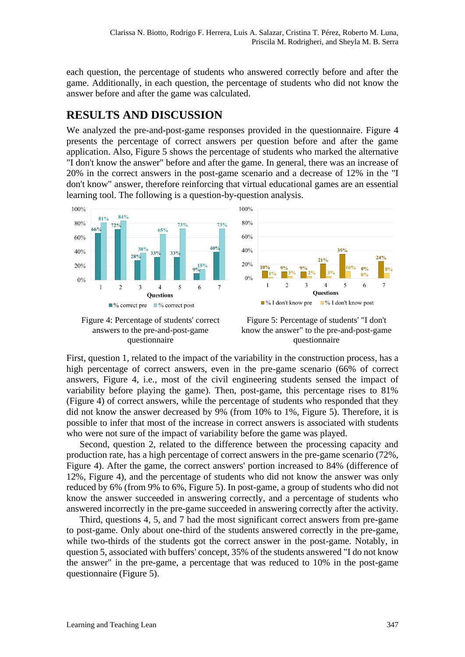each question, the percentage of students who answered correctly before and after the game. Additionally, in each question, the percentage of students who did not know the answer before and after the game was calculated.

# **RESULTS AND DISCUSSION**

We analyzed the pre-and-post-game responses provided in the questionnaire. Figure 4 presents the percentage of correct answers per question before and after the game application. Also, Figure 5 shows the percentage of students who marked the alternative "I don't know the answer" before and after the game. In general, there was an increase of 20% in the correct answers in the post-game scenario and a decrease of 12% in the "I don't know" answer, therefore reinforcing that virtual educational games are an essential learning tool. The following is a question-by-question analysis.



Figure 4: Percentage of students' correct answers to the pre-and-post-game questionnaire

Figure 5: Percentage of students' "I don't know the answer" to the pre-and-post-game questionnaire

First, question 1, related to the impact of the variability in the construction process, has a high percentage of correct answers, even in the pre-game scenario (66% of correct answers, Figure 4, i.e., most of the civil engineering students sensed the impact of variability before playing the game). Then, post-game, this percentage rises to 81% (Figure 4) of correct answers, while the percentage of students who responded that they did not know the answer decreased by 9% (from 10% to 1%, Figure 5). Therefore, it is possible to infer that most of the increase in correct answers is associated with students who were not sure of the impact of variability before the game was played.

Second, question 2, related to the difference between the processing capacity and production rate, has a high percentage of correct answers in the pre-game scenario (72%, Figure 4). After the game, the correct answers' portion increased to 84% (difference of 12%, Figure 4), and the percentage of students who did not know the answer was only reduced by 6% (from 9% to 6%, Figure 5). In post-game, a group of students who did not know the answer succeeded in answering correctly, and a percentage of students who answered incorrectly in the pre-game succeeded in answering correctly after the activity.

Third, questions 4, 5, and 7 had the most significant correct answers from pre-game to post-game. Only about one-third of the students answered correctly in the pre-game, while two-thirds of the students got the correct answer in the post-game. Notably, in question 5, associated with buffers' concept, 35% of the students answered "I do not know the answer" in the pre-game, a percentage that was reduced to 10% in the post-game questionnaire (Figure 5).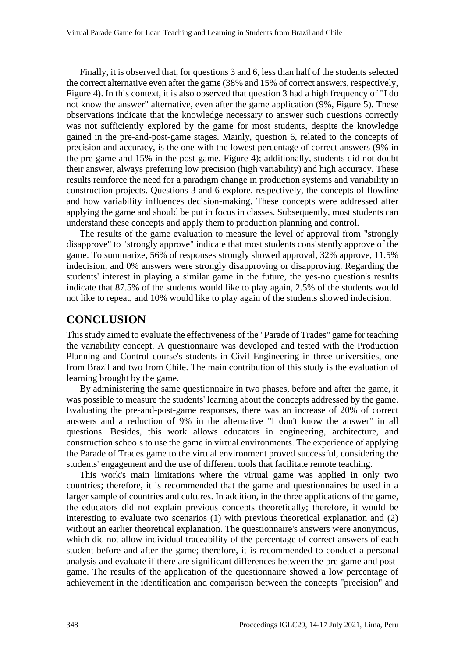Finally, it is observed that, for questions 3 and 6, less than half of the students selected the correct alternative even after the game (38% and 15% of correct answers, respectively, Figure 4). In this context, it is also observed that question 3 had a high frequency of "I do not know the answer" alternative, even after the game application (9%, Figure 5). These observations indicate that the knowledge necessary to answer such questions correctly was not sufficiently explored by the game for most students, despite the knowledge gained in the pre-and-post-game stages. Mainly, question 6, related to the concepts of precision and accuracy, is the one with the lowest percentage of correct answers (9% in the pre-game and 15% in the post-game, Figure 4); additionally, students did not doubt their answer, always preferring low precision (high variability) and high accuracy. These results reinforce the need for a paradigm change in production systems and variability in construction projects. Questions 3 and 6 explore, respectively, the concepts of flowline and how variability influences decision-making. These concepts were addressed after applying the game and should be put in focus in classes. Subsequently, most students can understand these concepts and apply them to production planning and control.

The results of the game evaluation to measure the level of approval from "strongly disapprove" to "strongly approve" indicate that most students consistently approve of the game. To summarize, 56% of responses strongly showed approval, 32% approve, 11.5% indecision, and 0% answers were strongly disapproving or disapproving. Regarding the students' interest in playing a similar game in the future, the yes-no question's results indicate that 87.5% of the students would like to play again, 2.5% of the students would not like to repeat, and 10% would like to play again of the students showed indecision.

#### **CONCLUSION**

This study aimed to evaluate the effectiveness of the "Parade of Trades" game for teaching the variability concept. A questionnaire was developed and tested with the Production Planning and Control course's students in Civil Engineering in three universities, one from Brazil and two from Chile. The main contribution of this study is the evaluation of learning brought by the game.

By administering the same questionnaire in two phases, before and after the game, it was possible to measure the students' learning about the concepts addressed by the game. Evaluating the pre-and-post-game responses, there was an increase of 20% of correct answers and a reduction of 9% in the alternative "I don't know the answer" in all questions. Besides, this work allows educators in engineering, architecture, and construction schools to use the game in virtual environments. The experience of applying the Parade of Trades game to the virtual environment proved successful, considering the students' engagement and the use of different tools that facilitate remote teaching.

This work's main limitations where the virtual game was applied in only two countries; therefore, it is recommended that the game and questionnaires be used in a larger sample of countries and cultures. In addition, in the three applications of the game, the educators did not explain previous concepts theoretically; therefore, it would be interesting to evaluate two scenarios (1) with previous theoretical explanation and (2) without an earlier theoretical explanation. The questionnaire's answers were anonymous, which did not allow individual traceability of the percentage of correct answers of each student before and after the game; therefore, it is recommended to conduct a personal analysis and evaluate if there are significant differences between the pre-game and postgame. The results of the application of the questionnaire showed a low percentage of achievement in the identification and comparison between the concepts "precision" and